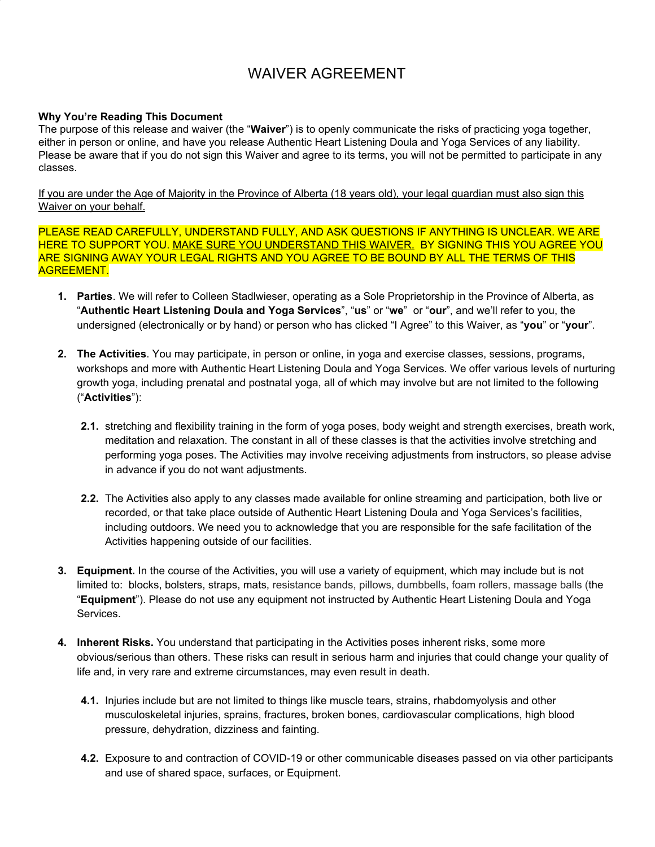## WAIVER AGREEMENT

## **Why You're Reading This Document**

The purpose of this release and waiver (the "**Waiver**") is to openly communicate the risks of practicing yoga together, either in person or online, and have you release Authentic Heart Listening Doula and Yoga Services of any liability. Please be aware that if you do not sign this Waiver and agree to its terms, you will not be permitted to participate in any classes.

If you are under the Age of Majority in the Province of Alberta (18 years old), your legal guardian must also sign this Waiver on your behalf.

PLEASE READ CAREFULLY, UNDERSTAND FULLY, AND ASK QUESTIONS IF ANYTHING IS UNCLEAR. WE ARE HERE TO SUPPORT YOU. MAKE SURE YOU UNDERSTAND THIS WAIVER. BY SIGNING THIS YOU AGREE YOU ARE SIGNING AWAY YOUR LEGAL RIGHTS AND YOU AGREE TO BE BOUND BY ALL THE TERMS OF THIS AGREEMENT.

- **1. Parties**. We will refer to Colleen Stadlwieser, operating as a Sole Proprietorship in the Province of Alberta, as "**Authentic Heart Listening Doula and Yoga Services**", "**us**" or "**we**" or "**our**", and we'll refer to you, the undersigned (electronically or by hand) or person who has clicked "I Agree" to this Waiver, as "**you**" or "**your**".
- **2. The Activities**. You may participate, in person or online, in yoga and exercise classes, sessions, programs, workshops and more with Authentic Heart Listening Doula and Yoga Services. We offer various levels of nurturing growth yoga, including prenatal and postnatal yoga, all of which may involve but are not limited to the following ("**Activities**"):
	- **2.1.** stretching and flexibility training in the form of yoga poses, body weight and strength exercises, breath work, meditation and relaxation. The constant in all of these classes is that the activities involve stretching and performing yoga poses. The Activities may involve receiving adjustments from instructors, so please advise in advance if you do not want adjustments.
	- **2.2.** The Activities also apply to any classes made available for online streaming and participation, both live or recorded, or that take place outside of Authentic Heart Listening Doula and Yoga Services's facilities, including outdoors. We need you to acknowledge that you are responsible for the safe facilitation of the Activities happening outside of our facilities.
- **3. Equipment.** In the course of the Activities, you will use a variety of equipment, which may include but is not limited to: blocks, bolsters, straps, mats, resistance bands, pillows, dumbbells, foam rollers, massage balls (the "**Equipment**"). Please do not use any equipment not instructed by Authentic Heart Listening Doula and Yoga Services.
- **4. Inherent Risks.** You understand that participating in the Activities poses inherent risks, some more obvious/serious than others. These risks can result in serious harm and injuries that could change your quality of life and, in very rare and extreme circumstances, may even result in death.
	- **4.1.** Injuries include but are not limited to things like muscle tears, strains, rhabdomyolysis and other musculoskeletal injuries, sprains, fractures, broken bones, cardiovascular complications, high blood pressure, dehydration, dizziness and fainting.
	- **4.2.** Exposure to and contraction of COVID-19 or other communicable diseases passed on via other participants and use of shared space, surfaces, or Equipment.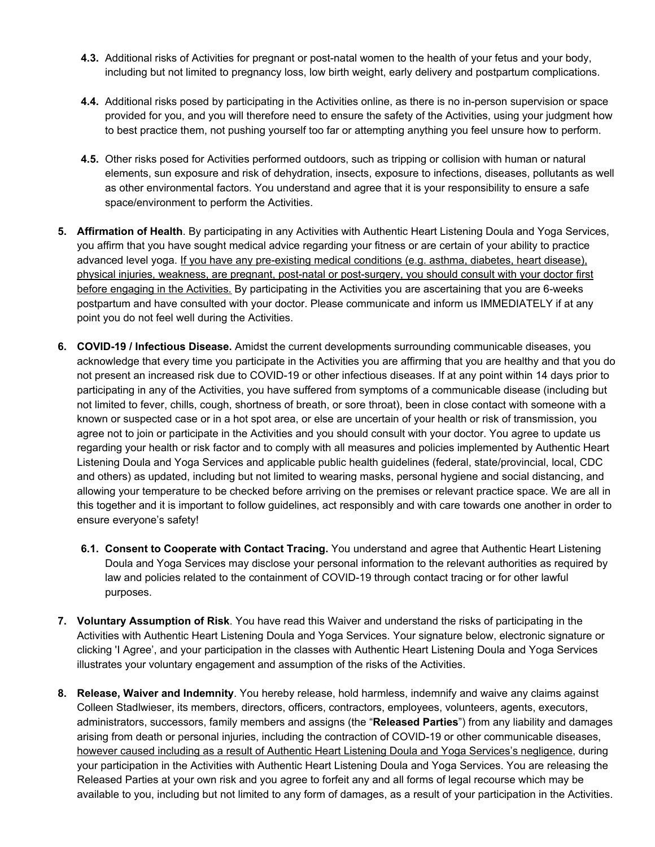- **4.3.** Additional risks of Activities for pregnant or post-natal women to the health of your fetus and your body, including but not limited to pregnancy loss, low birth weight, early delivery and postpartum complications.
- **4.4.** Additional risks posed by participating in the Activities online, as there is no in-person supervision or space provided for you, and you will therefore need to ensure the safety of the Activities, using your judgment how to best practice them, not pushing yourself too far or attempting anything you feel unsure how to perform.
- **4.5.** Other risks posed for Activities performed outdoors, such as tripping or collision with human or natural elements, sun exposure and risk of dehydration, insects, exposure to infections, diseases, pollutants as well as other environmental factors. You understand and agree that it is your responsibility to ensure a safe space/environment to perform the Activities.
- **5. Affirmation of Health**. By participating in any Activities with Authentic Heart Listening Doula and Yoga Services, you affirm that you have sought medical advice regarding your fitness or are certain of your ability to practice advanced level yoga. If you have any pre-existing medical conditions (e.g. asthma, diabetes, heart disease), physical injuries, weakness, are pregnant, post-natal or post-surgery, you should consult with your doctor first before engaging in the Activities. By participating in the Activities you are ascertaining that you are 6-weeks postpartum and have consulted with your doctor. Please communicate and inform us IMMEDIATELY if at any point you do not feel well during the Activities.
- **6. COVID-19 / Infectious Disease.** Amidst the current developments surrounding communicable diseases, you acknowledge that every time you participate in the Activities you are affirming that you are healthy and that you do not present an increased risk due to COVID-19 or other infectious diseases. If at any point within 14 days prior to participating in any of the Activities, you have suffered from symptoms of a communicable disease (including but not limited to fever, chills, cough, shortness of breath, or sore throat), been in close contact with someone with a known or suspected case or in a hot spot area, or else are uncertain of your health or risk of transmission, you agree not to join or participate in the Activities and you should consult with your doctor. You agree to update us regarding your health or risk factor and to comply with all measures and policies implemented by Authentic Heart Listening Doula and Yoga Services and applicable public health guidelines (federal, state/provincial, local, CDC and others) as updated, including but not limited to wearing masks, personal hygiene and social distancing, and allowing your temperature to be checked before arriving on the premises or relevant practice space. We are all in this together and it is important to follow guidelines, act responsibly and with care towards one another in order to ensure everyone's safety!
	- **6.1. Consent to Cooperate with Contact Tracing.** You understand and agree that Authentic Heart Listening Doula and Yoga Services may disclose your personal information to the relevant authorities as required by law and policies related to the containment of COVID-19 through contact tracing or for other lawful purposes.
- **7. Voluntary Assumption of Risk**. You have read this Waiver and understand the risks of participating in the Activities with Authentic Heart Listening Doula and Yoga Services. Your signature below, electronic signature or clicking 'I Agree', and your participation in the classes with Authentic Heart Listening Doula and Yoga Services illustrates your voluntary engagement and assumption of the risks of the Activities.
- **8. Release, Waiver and Indemnity**. You hereby release, hold harmless, indemnify and waive any claims against Colleen Stadlwieser, its members, directors, officers, contractors, employees, volunteers, agents, executors, administrators, successors, family members and assigns (the "**Released Parties**") from any liability and damages arising from death or personal injuries, including the contraction of COVID-19 or other communicable diseases, however caused including as a result of Authentic Heart Listening Doula and Yoga Services's negligence, during your participation in the Activities with Authentic Heart Listening Doula and Yoga Services. You are releasing the Released Parties at your own risk and you agree to forfeit any and all forms of legal recourse which may be available to you, including but not limited to any form of damages, as a result of your participation in the Activities.